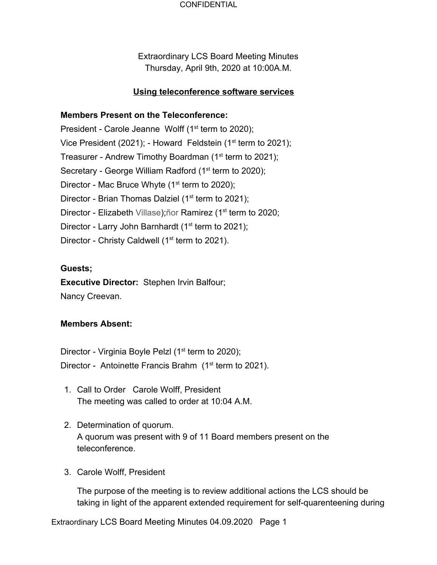Extraordinary LCS Board Meeting Minutes Thursday, April 9th, 2020 at 10:00A.M.

# **Using teleconference software services**

# **Members Present on the Teleconference:**

President - Carole Jeanne Wolff  $(1<sup>st</sup>$  term to 2020); Vice President (2021); - Howard Feldstein (1<sup>st</sup> term to 2021); Treasurer - Andrew Timothy Boardman (1<sup>st</sup> term to 2021); Secretary - George William Radford (1<sup>st</sup> term to 2020); Director - Mac Bruce Whyte  $(1<sup>st</sup>$  term to 2020); Director - Brian Thomas Dalziel ( $1<sup>st</sup>$  term to 2021); Director - Elizabeth Villase);ñor Ramirez (1<sup>st</sup> term to 2020; Director - Larry John Barnhardt ( $1<sup>st</sup>$  term to 2021); Director - Christy Caldwell ( $1<sup>st</sup>$  term to 2021).

# **Guests;**

**Executive Director:** Stephen Irvin Balfour; Nancy Creevan.

### **Members Absent:**

Director - Virginia Boyle Pelzl (1<sup>st</sup> term to 2020); Director - Antoinette Francis Brahm  $(1<sup>st</sup>$  term to 2021).

- 1. Call to Order Carole Wolff, President The meeting was called to order at 10:04 A.M.
- 2. Determination of quorum. A quorum was present with 9 of 11 Board members present on the teleconference.
- 3. Carole Wolff, President

The purpose of the meeting is to review additional actions the LCS should be taking in light of the apparent extended requirement for self-quarenteening during

Extraordinary LCS Board Meeting Minutes 04.09.2020 Page 1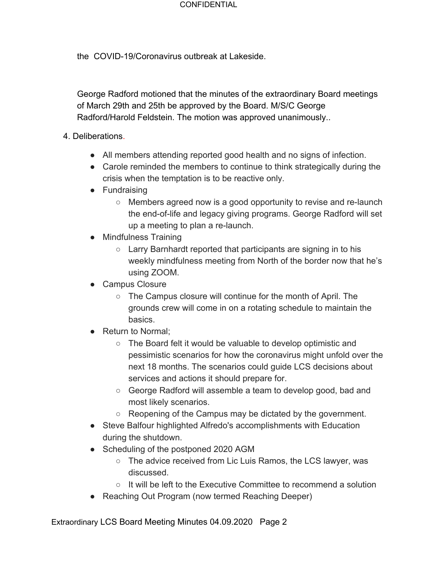the COVID-19/Coronavirus outbreak at Lakeside.

George Radford motioned that the minutes of the extraordinary Board meetings of March 29th and 25th be approved by the Board. M/S/C George Radford/Harold Feldstein. The motion was approved unanimously..

### 4. Deliberations.

- All members attending reported good health and no signs of infection.
- Carole reminded the members to continue to think strategically during the crisis when the temptation is to be reactive only.
- Fundraising
	- Members agreed now is a good opportunity to revise and re-launch the end-of-life and legacy giving programs. George Radford will set up a meeting to plan a re-launch.
- Mindfulness Training
	- Larry Barnhardt reported that participants are signing in to his weekly mindfulness meeting from North of the border now that he's using ZOOM.
- Campus Closure
	- The Campus closure will continue for the month of April. The grounds crew will come in on a rotating schedule to maintain the basics.
- Return to Normal:
	- The Board felt it would be valuable to develop optimistic and pessimistic scenarios for how the coronavirus might unfold over the next 18 months. The scenarios could guide LCS decisions about services and actions it should prepare for.
	- George Radford will assemble a team to develop good, bad and most likely scenarios.
	- Reopening of the Campus may be dictated by the government.
- Steve Balfour highlighted Alfredo's accomplishments with Education during the shutdown.
- Scheduling of the postponed 2020 AGM
	- The advice received from Lic Luis Ramos, the LCS lawyer, was discussed.
	- $\circ$  It will be left to the Executive Committee to recommend a solution
- Reaching Out Program (now termed Reaching Deeper)

Extraordinary LCS Board Meeting Minutes 04.09.2020 Page 2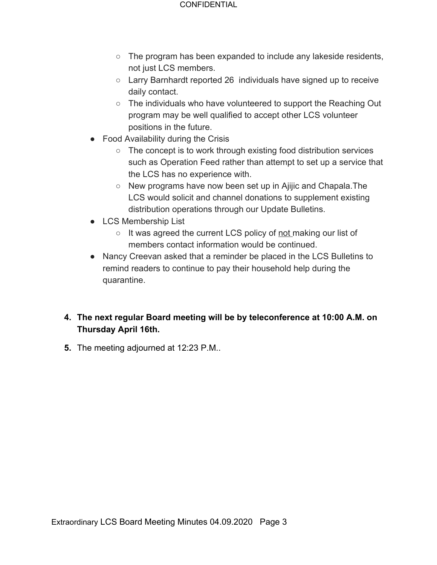- $\circ$  The program has been expanded to include any lakeside residents, not just LCS members.
- Larry Barnhardt reported 26 individuals have signed up to receive daily contact.
- $\circ$  The individuals who have volunteered to support the Reaching Out program may be well qualified to accept other LCS volunteer positions in the future.
- Food Availability during the Crisis
	- The concept is to work through existing food distribution services such as Operation Feed rather than attempt to set up a service that the LCS has no experience with.
	- New programs have now been set up in Ajijic and Chapala.The LCS would solicit and channel donations to supplement existing distribution operations through our Update Bulletins.
- LCS Membership List
	- It was agreed the current LCS policy of not making our list of members contact information would be continued.
- Nancy Creevan asked that a reminder be placed in the LCS Bulletins to remind readers to continue to pay their household help during the quarantine.
- **4. The next regular Board meeting will be by teleconference at 10:00 A.M. on Thursday April 16th.**
- **5.** The meeting adjourned at 12:23 P.M..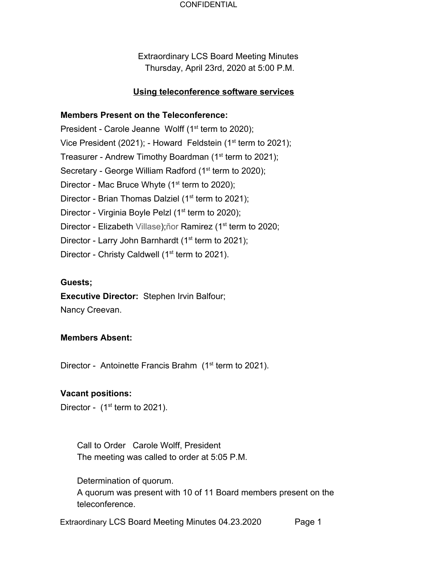Extraordinary LCS Board Meeting Minutes Thursday, April 23rd, 2020 at 5:00 P.M.

# **Using teleconference software services**

# **Members Present on the Teleconference:**

President - Carole Jeanne Wolff  $(1<sup>st</sup>$  term to 2020); Vice President (2021); - Howard Feldstein (1<sup>st</sup> term to 2021); Treasurer - Andrew Timothy Boardman (1<sup>st</sup> term to 2021); Secretary - George William Radford (1<sup>st</sup> term to 2020); Director - Mac Bruce Whyte  $(1<sup>st</sup>$  term to 2020); Director - Brian Thomas Dalziel ( $1<sup>st</sup>$  term to 2021); Director - Virginia Boyle Pelzl (1<sup>st</sup> term to 2020); Director - Elizabeth Villase);ñor Ramirez (1<sup>st</sup> term to 2020; Director - Larry John Barnhardt ( $1<sup>st</sup>$  term to 2021); Director - Christy Caldwell ( $1<sup>st</sup>$  term to 2021).

# **Guests;**

**Executive Director:** Stephen Irvin Balfour; Nancy Creevan.

### **Members Absent:**

Director - Antoinette Francis Brahm  $(1<sup>st</sup>$  term to 2021).

### **Vacant positions:**

Director -  $(1<sup>st</sup>$  term to 2021).

Call to Order Carole Wolff, President The meeting was called to order at 5:05 P.M.

Determination of quorum. A quorum was present with 10 of 11 Board members present on the teleconference.

Extraordinary LCS Board Meeting Minutes 04.23.2020 Page 1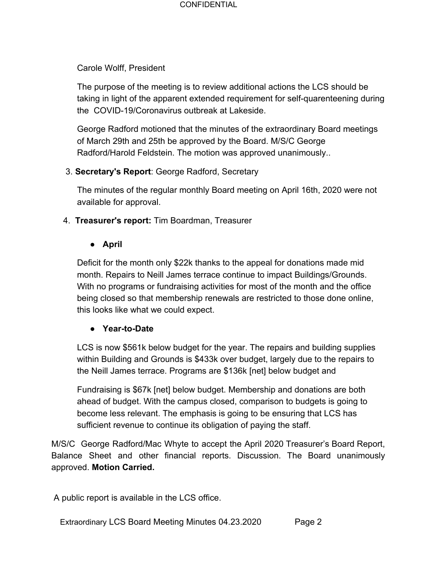### Carole Wolff, President

The purpose of the meeting is to review additional actions the LCS should be taking in light of the apparent extended requirement for self-quarenteening during the COVID-19/Coronavirus outbreak at Lakeside.

George Radford motioned that the minutes of the extraordinary Board meetings of March 29th and 25th be approved by the Board. M/S/C George Radford/Harold Feldstein. The motion was approved unanimously..

# 3. **Secretary's Report**: George Radford, Secretary

The minutes of the regular monthly Board meeting on April 16th, 2020 were not available for approval.

4. **Treasurer's report:** Tim Boardman, Treasurer

# **● April**

Deficit for the month only \$22k thanks to the appeal for donations made mid month. Repairs to Neill James terrace continue to impact Buildings/Grounds. With no programs or fundraising activities for most of the month and the office being closed so that membership renewals are restricted to those done online, this looks like what we could expect.

# **● Year-to-Date**

LCS is now \$561k below budget for the year. The repairs and building supplies within Building and Grounds is \$433k over budget, largely due to the repairs to the Neill James terrace. Programs are \$136k [net] below budget and

Fundraising is \$67k [net] below budget. Membership and donations are both ahead of budget. With the campus closed, comparison to budgets is going to become less relevant. The emphasis is going to be ensuring that LCS has sufficient revenue to continue its obligation of paying the staff.

M/S/C George Radford/Mac Whyte to accept the April 2020 Treasurer's Board Report, Balance Sheet and other financial reports. Discussion. The Board unanimously approved. **Motion Carried.**

A public report is available in the LCS office.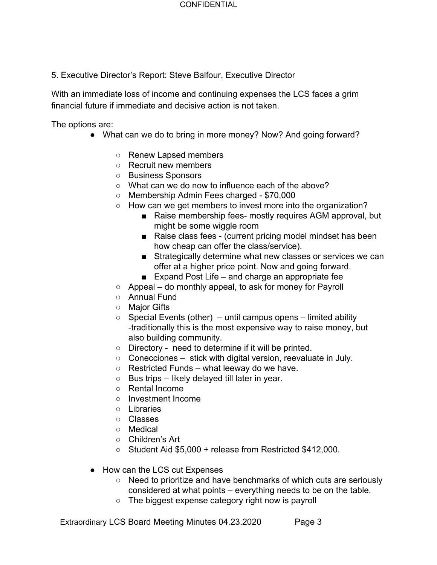5. Executive Director's Report: Steve Balfour, Executive Director

With an immediate loss of income and continuing expenses the LCS faces a grim financial future if immediate and decisive action is not taken.

The options are:

- What can we do to bring in more money? Now? And going forward?
	- Renew Lapsed members
	- Recruit new members
	- Business Sponsors
	- What can we do now to influence each of the above?
	- Membership Admin Fees charged \$70,000
	- How can we get members to invest more into the organization?
		- Raise membership fees- mostly requires AGM approval, but might be some wiggle room
		- Raise class fees (current pricing model mindset has been how cheap can offer the class/service).
		- Strategically determine what new classes or services we can offer at a higher price point. Now and going forward.
		- Expand Post Life and charge an appropriate fee
	- Appeal do monthly appeal, to ask for money for Payroll
	- Annual Fund
	- Major Gifts
	- $\circ$  Special Events (other) until campus opens limited ability -traditionally this is the most expensive way to raise money, but also building community.
	- Directory need to determine if it will be printed.
	- $\circ$  Conecciones stick with digital version, reevaluate in July.
	- $\circ$  Restricted Funds what leeway do we have.
	- $\circ$  Bus trips likely delayed till later in year.
	- Rental Income
	- Investment Income
	- Libraries
	- Classes
	- Medical
	- Children's Art
	- Student Aid \$5,000 + release from Restricted \$412,000.
- How can the LCS cut Expenses
	- Need to prioritize and have benchmarks of which cuts are seriously considered at what points – everything needs to be on the table.
	- The biggest expense category right now is payroll